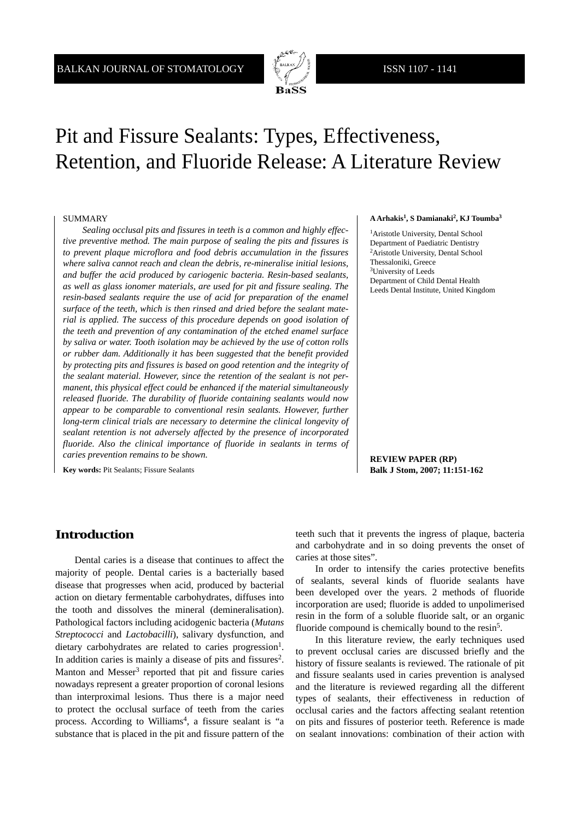

# Pit and Fissure Sealants: Types, Effectiveness, Retention, and Fluoride Release: A Literature Review

#### SUMMARY

*Sealing occlusal pits and fissures in teeth is a common and highly effective preventive method. The main purpose of sealing the pits and fissures is to prevent plaque microflora and food debris accumulation in the fissures where saliva cannot reach and clean the debris, re-mineralise initial lesions, and buffer the acid produced by cariogenic bacteria. Resin-based sealants, as well as glass ionomer materials, are used for pit and fissure sealing. The resin-based sealants require the use of acid for preparation of the enamel surface of the teeth, which is then rinsed and dried before the sealant material is applied. The success of this procedure depends on good isolation of the teeth and prevention of any contamination of the etched enamel surface by saliva or water. Tooth isolation may be achieved by the use of cotton rolls or rubber dam. Additionally it has been suggested that the benefit provided by protecting pits and fissures is based on good retention and the integrity of the sealant material. However, since the retention of the sealant is not permanent, this physical effect could be enhanced if the material simultaneously released fluoride. The durability of fluoride containing sealants would now appear to be comparable to conventional resin sealants. However, further long-term clinical trials are necessary to determine the clinical longevity of sealant retention is not adversely affected by the presence of incorporated*  fluoride. Also the clinical importance of fluoride in sealants in terms of *caries prevention remains to be shown.*

**Key words:** Pit Sealants; Fissure Sealants

#### **A Arhakis1, S Damianaki2, KJ Toumba3**

1Aristotle University, Dental School Department of Paediatric Dentistry 2Aristotle University, Dental School Thessaloniki, Greece 3University of Leeds Department of Child Dental Health Leeds Dental Institute, United Kingdom

**REVIEW PAPER (RP) Balk J Stom, 2007; 11:151-162**

# **Introduction**

Dental caries is a disease that continues to affect the majority of people. Dental caries is a bacterially based disease that progresses when acid, produced by bacterial action on dietary fermentable carbohydrates, diffuses into the tooth and dissolves the mineral (demineralisation). Pathological factors including acidogenic bacteria (*Mutans Streptococci* and *Lactobacilli*), salivary dysfunction, and dietary carbohydrates are related to caries progression<sup>1</sup>. In addition caries is mainly a disease of pits and fissures<sup>2</sup>. Manton and Messer<sup>3</sup> reported that pit and fissure caries nowadays represent a greater proportion of coronal lesions than interproximal lesions. Thus there is a major need to protect the occlusal surface of teeth from the caries process. According to Williams<sup>4</sup>, a fissure sealant is "a substance that is placed in the pit and fissure pattern of the

teeth such that it prevents the ingress of plaque, bacteria and carbohydrate and in so doing prevents the onset of caries at those sites".

In order to intensify the caries protective benefits of sealants, several kinds of fluoride sealants have been developed over the years. 2 methods of fluoride incorporation are used; fluoride is added to unpolimerised resin in the form of a soluble fluoride salt, or an organic fluoride compound is chemically bound to the resin<sup>5</sup>.

In this literature review, the early techniques used to prevent occlusal caries are discussed briefly and the history of fissure sealants is reviewed. The rationale of pit and fissure sealants used in caries prevention is analysed and the literature is reviewed regarding all the different types of sealants, their effectiveness in reduction of occlusal caries and the factors affecting sealant retention on pits and fissures of posterior teeth. Reference is made on sealant innovations: combination of their action with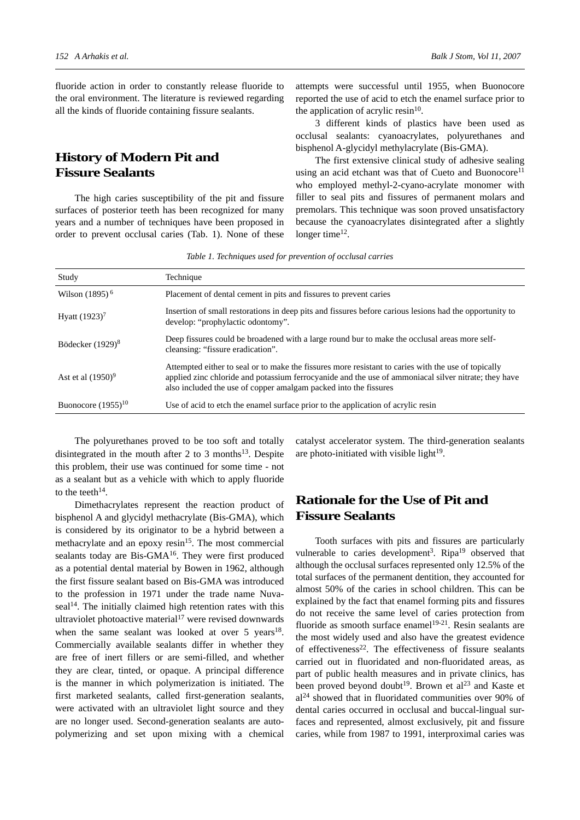fluoride action in order to constantly release fluoride to the oral environment. The literature is reviewed regarding all the kinds of fluoride containing fissure sealants.

# **History of Modern Pit and Fissure Sealants**

The high caries susceptibility of the pit and fissure surfaces of posterior teeth has been recognized for many years and a number of techniques have been proposed in order to prevent occlusal caries (Tab. 1). None of these

attempts were successful until 1955, when Buonocore reported the use of acid to etch the enamel surface prior to the application of acrylic resin $10$ .

3 different kinds of plastics have been used as occlusal sealants: cyanoacrylates, polyurethanes and bisphenol A-glycidyl methylacrylate (Bis-GMA).

The first extensive clinical study of adhesive sealing using an acid etchant was that of Cueto and Buonocore<sup>11</sup> who employed methyl-2-cyano-acrylate monomer with filler to seal pits and fissures of permanent molars and premolars. This technique was soon proved unsatisfactory because the cyanoacrylates disintegrated after a slightly longer time<sup>12</sup>.

*Table 1. Techniques used for prevention of occlusal carries*

| Study                   | Technique                                                                                                                                                                                                                                                                       |
|-------------------------|---------------------------------------------------------------------------------------------------------------------------------------------------------------------------------------------------------------------------------------------------------------------------------|
| Wilson $(1895)^6$       | Placement of dental cement in pits and fissures to prevent caries                                                                                                                                                                                                               |
| Hyatt $(1923)^7$        | Insertion of small restorations in deep pits and fissures before carious lesions had the opportunity to<br>develop: "prophylactic odontomy".                                                                                                                                    |
| Bödecker $(1929)^8$     | Deep fissures could be broadened with a large round bur to make the occlusal areas more self-<br>cleansing: "fissure eradication".                                                                                                                                              |
| Ast et al $(1950)^9$    | Attempted either to seal or to make the fissures more resistant to caries with the use of topically<br>applied zinc chloride and potassium ferrocyanide and the use of ammoniacal silver nitrate; they have<br>also included the use of copper amalgam packed into the fissures |
| Buonocore $(1955)^{10}$ | Use of acid to etch the enamel surface prior to the application of acrylic resin                                                                                                                                                                                                |

The polyurethanes proved to be too soft and totally disintegrated in the mouth after 2 to 3 months<sup>13</sup>. Despite this problem, their use was continued for some time - not as a sealant but as a vehicle with which to apply fluoride to the teeth $14$ .

Dimethacrylates represent the reaction product of bisphenol A and glycidyl methacrylate (Bis-GMA), which is considered by its originator to be a hybrid between a methacrylate and an epoxy  $resin<sup>15</sup>$ . The most commercial sealants today are Bis-GMA<sup>16</sup>. They were first produced as a potential dental material by Bowen in 1962, although the first fissure sealant based on Bis-GMA was introduced to the profession in 1971 under the trade name Nuvaseal<sup>14</sup>. The initially claimed high retention rates with this ultraviolet photoactive material<sup>17</sup> were revised downwards when the same sealant was looked at over  $5$  years<sup>18</sup>. Commercially available sealants differ in whether they are free of inert fillers or are semi-filled, and whether they are clear, tinted, or opaque. A principal difference is the manner in which polymerization is initiated. The first marketed sealants, called first-generation sealants, were activated with an ultraviolet light source and they are no longer used. Second-generation sealants are autopolymerizing and set upon mixing with a chemical

catalyst accelerator system. The third-generation sealants are photo-initiated with visible light $19$ .

# **Rationale for the Use of Pit and Fissure Sealants**

Tooth surfaces with pits and fissures are particularly vulnerable to caries development<sup>3</sup>. Ripa<sup>19</sup> observed that although the occlusal surfaces represented only 12.5% of the total surfaces of the permanent dentition, they accounted for almost 50% of the caries in school children. This can be explained by the fact that enamel forming pits and fissures do not receive the same level of caries protection from fluoride as smooth surface enamel<sup>19-21</sup>. Resin sealants are the most widely used and also have the greatest evidence of effectiveness<sup>22</sup>. The effectiveness of fissure sealants carried out in fluoridated and non-fluoridated areas, as part of public health measures and in private clinics, has been proved beyond doubt<sup>19</sup>. Brown et al<sup>23</sup> and Kaste et al24 showed that in fluoridated communities over 90% of dental caries occurred in occlusal and buccal-lingual surfaces and represented, almost exclusively, pit and fissure caries, while from 1987 to 1991, interproximal caries was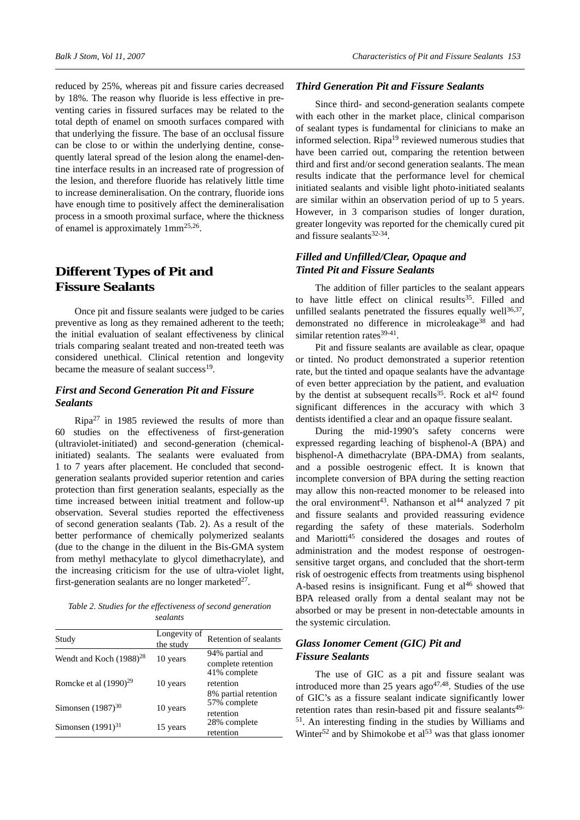reduced by 25%, whereas pit and fissure caries decreased by 18%. The reason why fluoride is less effective in preventing caries in fissured surfaces may be related to the total depth of enamel on smooth surfaces compared with that underlying the fissure. The base of an occlusal fissure can be close to or within the underlying dentine, consequently lateral spread of the lesion along the enamel-dentine interface results in an increased rate of progression of the lesion, and therefore fluoride has relatively little time to increase demineralisation. On the contrary, fluoride ions have enough time to positively affect the demineralisation process in a smooth proximal surface, where the thickness of enamel is approximately 1mm25,26.

# **Different Types of Pit and Fissure Sealants**

Once pit and fissure sealants were judged to be caries preventive as long as they remained adherent to the teeth; the initial evaluation of sealant effectiveness by clinical trials comparing sealant treated and non-treated teeth was considered unethical. Clinical retention and longevity became the measure of sealant success<sup>19</sup>.

# *First and Second Generation Pit and Fissure Sealants*

Ripa27 in 1985 reviewed the results of more than 60 studies on the effectiveness of first-generation (ultraviolet-initiated) and second-generation (chemicalinitiated) sealants. The sealants were evaluated from 1 to 7 years after placement. He concluded that secondgeneration sealants provided superior retention and caries protection than first generation sealants, especially as the time increased between initial treatment and follow-up observation. Several studies reported the effectiveness of second generation sealants (Tab. 2). As a result of the better performance of chemically polymerized sealants (due to the change in the diluent in the Bis-GMA system from methyl methacylate to glycol dimethacrylate), and the increasing criticism for the use of ultra-violet light, first-generation sealants are no longer marketed $27$ .

*Table 2. Studies for the effectiveness of second generation sealants*

| Study                               | Longevity of<br>the study | Retention of sealants                             |
|-------------------------------------|---------------------------|---------------------------------------------------|
| Wendt and Koch (1988) <sup>28</sup> | 10 years                  | 94% partial and<br>complete retention             |
| Romcke et al $(1990)^{29}$          | 10 years                  | 41% complete<br>retention<br>8% partial retention |
| Simonsen $(1987)^{30}$              | 10 years                  | 57% complete<br>retention                         |
| Simonsen $(1991)^{31}$              | 15 years                  | 28% complete<br>retention                         |

#### *Third Generation Pit and Fissure Sealants*

Since third- and second-generation sealants compete with each other in the market place, clinical comparison of sealant types is fundamental for clinicians to make an informed selection. Ripa $19$  reviewed numerous studies that have been carried out, comparing the retention between third and first and/or second generation sealants. The mean results indicate that the performance level for chemical initiated sealants and visible light photo-initiated sealants are similar within an observation period of up to 5 years. However, in 3 comparison studies of longer duration, greater longevity was reported for the chemically cured pit and fissure sealants $32-34$ .

# *Filled and Unfilled/Clear, Opaque and Tinted Pit and Fissure Sealants*

The addition of filler particles to the sealant appears to have little effect on clinical results $35$ . Filled and unfilled sealants penetrated the fissures equally well $36,37$ , demonstrated no difference in microleakage<sup>38</sup> and had similar retention rates<sup>39-41</sup>.

Pit and fissure sealants are available as clear, opaque or tinted. No product demonstrated a superior retention rate, but the tinted and opaque sealants have the advantage of even better appreciation by the patient, and evaluation by the dentist at subsequent recalls<sup>35</sup>. Rock et al<sup>42</sup> found significant differences in the accuracy with which 3 dentists identified a clear and an opaque fissure sealant.

During the mid-1990's safety concerns were expressed regarding leaching of bisphenol-A (BPA) and bisphenol-A dimethacrylate (BPA-DMA) from sealants, and a possible oestrogenic effect. It is known that incomplete conversion of BPA during the setting reaction may allow this non-reacted monomer to be released into the oral environment<sup>43</sup>. Nathanson et al<sup>44</sup> analyzed 7 pit and fissure sealants and provided reassuring evidence regarding the safety of these materials. Soderholm and Mariotti<sup>45</sup> considered the dosages and routes of administration and the modest response of oestrogensensitive target organs, and concluded that the short-term risk of oestrogenic effects from treatments using bisphenol A-based resins is insignificant. Fung et  $al<sup>46</sup>$  showed that BPA released orally from a dental sealant may not be absorbed or may be present in non-detectable amounts in the systemic circulation.

## *Glass Ionomer Cement (GIC) Pit and Fissure Sealants*

The use of GIC as a pit and fissure sealant was introduced more than 25 years  $ago^{47,48}$ . Studies of the use of GIC's as a fissure sealant indicate significantly lower retention rates than resin-based pit and fissure sealants<sup>49-</sup> 51. An interesting finding in the studies by Williams and Winter<sup>52</sup> and by Shimokobe et  $al<sup>53</sup>$  was that glass ionomer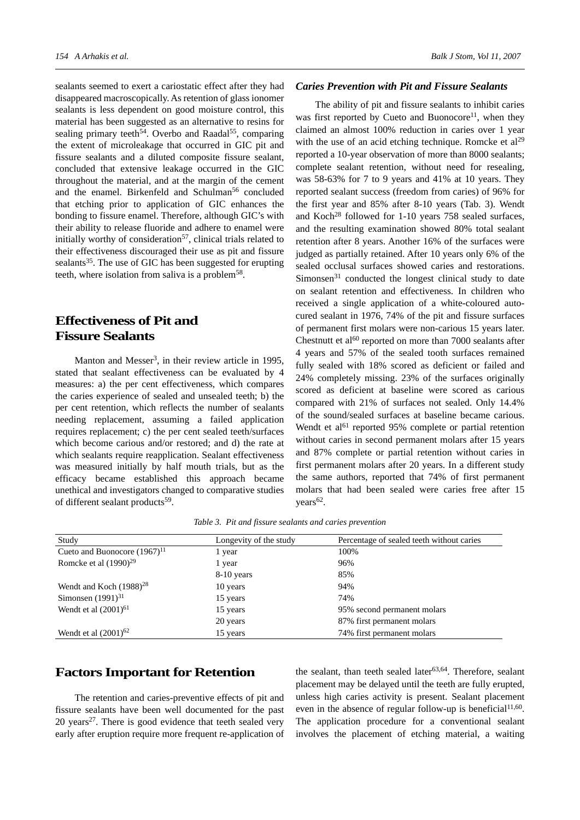sealants seemed to exert a cariostatic effect after they had disappeared macroscopically. As retention of glass ionomer sealants is less dependent on good moisture control, this material has been suggested as an alternative to resins for sealing primary teeth<sup>54</sup>. Overbo and Raadal<sup>55</sup>, comparing the extent of microleakage that occurred in GIC pit and fissure sealants and a diluted composite fissure sealant, concluded that extensive leakage occurred in the GIC throughout the material, and at the margin of the cement and the enamel. Birkenfeld and Schulman<sup>56</sup> concluded that etching prior to application of GIC enhances the bonding to fissure enamel. Therefore, although GIC's with their ability to release fluoride and adhere to enamel were initially worthy of consideration<sup>57</sup>, clinical trials related to their effectiveness discouraged their use as pit and fissure sealants<sup>35</sup>. The use of GIC has been suggested for erupting teeth, where isolation from saliva is a problem58.

# **Effectiveness of Pit and Fissure Sealants**

Manton and Messer<sup>3</sup>, in their review article in 1995, stated that sealant effectiveness can be evaluated by 4 measures: a) the per cent effectiveness, which compares the caries experience of sealed and unsealed teeth; b) the per cent retention, which reflects the number of sealants needing replacement, assuming a failed application requires replacement; c) the per cent sealed teeth/surfaces which become carious and/or restored; and d) the rate at which sealants require reapplication. Sealant effectiveness was measured initially by half mouth trials, but as the efficacy became established this approach became unethical and investigators changed to comparative studies of different sealant products<sup>59</sup>.

### *Caries Prevention with Pit and Fissure Sealants*

The ability of pit and fissure sealants to inhibit caries was first reported by Cueto and Buonocore<sup>11</sup>, when they claimed an almost 100% reduction in caries over 1 year with the use of an acid etching technique. Romcke et  $al<sup>29</sup>$ reported a 10-year observation of more than 8000 sealants; complete sealant retention, without need for resealing, was 58-63% for 7 to 9 years and 41% at 10 years. They reported sealant success (freedom from caries) of 96% for the first year and 85% after 8-10 years (Tab. 3). Wendt and Koch<sup>28</sup> followed for 1-10 years 758 sealed surfaces, and the resulting examination showed 80% total sealant retention after 8 years. Another 16% of the surfaces were judged as partially retained. After 10 years only 6% of the sealed occlusal surfaces showed caries and restorations. Simonsen $31$  conducted the longest clinical study to date on sealant retention and effectiveness. In children who received a single application of a white-coloured autocured sealant in 1976, 74% of the pit and fissure surfaces of permanent first molars were non-carious 15 years later. Chestnutt et al $^{60}$  reported on more than 7000 sealants after 4 years and 57% of the sealed tooth surfaces remained fully sealed with 18% scored as deficient or failed and 24% completely missing. 23% of the surfaces originally scored as deficient at baseline were scored as carious compared with 21% of surfaces not sealed. Only 14.4% of the sound/sealed surfaces at baseline became carious. Wendt et al $61$  reported 95% complete or partial retention without caries in second permanent molars after 15 years and 87% complete or partial retention without caries in first permanent molars after 20 years. In a different study the same authors, reported that 74% of first permanent molars that had been sealed were caries free after 15  $years<sup>62</sup>$ .

| Study                             | Longevity of the study | Percentage of sealed teeth without caries |
|-----------------------------------|------------------------|-------------------------------------------|
| Cueto and Buonocore $(1967)^{11}$ | l year                 | 100%                                      |
| Romcke et al $(1990)^{29}$        | 1 year                 | 96%                                       |
|                                   | 8-10 years             | 85%                                       |
| Wendt and Koch $(1988)^{28}$      | 10 years               | 94%                                       |
| Simonsen $(1991)^{31}$            | 15 years               | 74%                                       |
| Wendt et al $(2001)^{61}$         | 15 years               | 95% second permanent molars               |
|                                   | 20 years               | 87% first permanent molars                |
| Wendt et al $(2001)^{62}$         | 15 years               | 74% first permanent molars                |

*Table 3. Pit and fissure sealants and caries prevention*

# **Factors Important for Retention**

The retention and caries-preventive effects of pit and fissure sealants have been well documented for the past 20 years<sup>27</sup>. There is good evidence that teeth sealed very early after eruption require more frequent re-application of the sealant, than teeth sealed later<sup>63,64</sup>. Therefore, sealant placement may be delayed until the teeth are fully erupted, unless high caries activity is present. Sealant placement even in the absence of regular follow-up is beneficial $11,60$ . The application procedure for a conventional sealant involves the placement of etching material, a waiting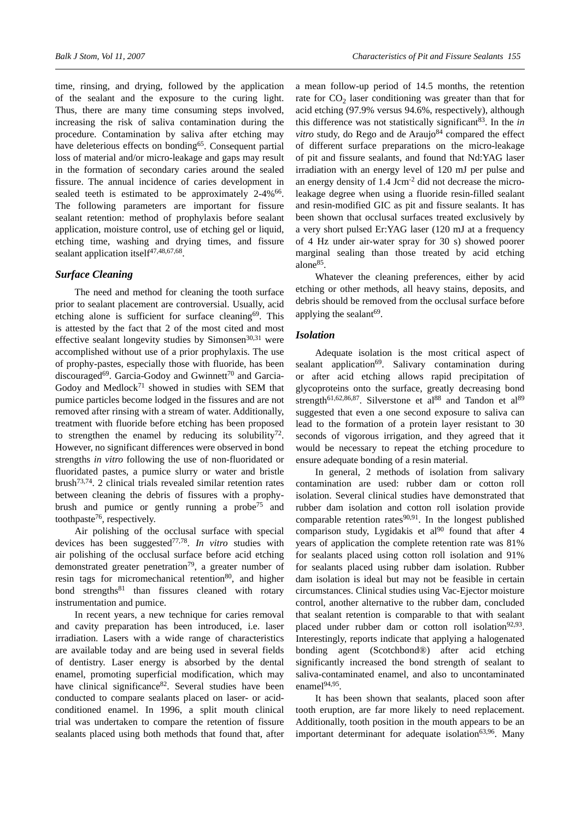time, rinsing, and drying, followed by the application of the sealant and the exposure to the curing light. Thus, there are many time consuming steps involved, increasing the risk of saliva contamination during the procedure. Contamination by saliva after etching may have deleterious effects on bonding<sup>65</sup>. Consequent partial loss of material and/or micro-leakage and gaps may result in the formation of secondary caries around the sealed fissure. The annual incidence of caries development in sealed teeth is estimated to be approximately  $2-4\%$ <sup>66</sup>. The following parameters are important for fissure sealant retention: method of prophylaxis before sealant application, moisture control, use of etching gel or liquid, etching time, washing and drying times, and fissure sealant application itself<sup>47,48,67,68</sup>.

#### *Surface Cleaning*

The need and method for cleaning the tooth surface prior to sealant placement are controversial. Usually, acid etching alone is sufficient for surface cleaning<sup>69</sup>. This is attested by the fact that 2 of the most cited and most effective sealant longevity studies by Simonsen $30,31$  were accomplished without use of a prior prophylaxis. The use of prophy-pastes, especially those with fluoride, has been discouraged<sup>69</sup>. Garcia-Godoy and Gwinnett<sup>70</sup> and Garcia-Godoy and Medlock $71$  showed in studies with SEM that pumice particles become lodged in the fissures and are not removed after rinsing with a stream of water. Additionally, treatment with fluoride before etching has been proposed to strengthen the enamel by reducing its solubility<sup>72</sup>. However, no significant differences were observed in bond strengths *in vitro* following the use of non-fluoridated or fluoridated pastes, a pumice slurry or water and bristle brush73,74. 2 clinical trials revealed similar retention rates between cleaning the debris of fissures with a prophybrush and pumice or gently running a probe<sup>75</sup> and toothpaste76, respectively.

Air polishing of the occlusal surface with special devices has been suggested77,78. *In vitro* studies with air polishing of the occlusal surface before acid etching demonstrated greater penetration<sup>79</sup>, a greater number of resin tags for micromechanical retention<sup>80</sup>, and higher bond strengths<sup>81</sup> than fissures cleaned with rotary instrumentation and pumice.

In recent years, a new technique for caries removal and cavity preparation has been introduced, i.e. laser irradiation. Lasers with a wide range of characteristics are available today and are being used in several fields of dentistry. Laser energy is absorbed by the dental enamel, promoting superficial modification, which may have clinical significance<sup>82</sup>. Several studies have been conducted to compare sealants placed on laser- or acidconditioned enamel. In 1996, a split mouth clinical trial was undertaken to compare the retention of fissure sealants placed using both methods that found that, after

a mean follow-up period of 14.5 months, the retention rate for  $CO<sub>2</sub>$  laser conditioning was greater than that for acid etching (97.9% versus 94.6%, respectively), although this difference was not statistically significant<sup>83</sup>. In the *in vitro* study, do Rego and de Araujo $84$  compared the effect of different surface preparations on the micro-leakage of pit and fissure sealants, and found that Nd:YAG laser irradiation with an energy level of 120 mJ per pulse and an energy density of 1.4 Jcm-2 did not decrease the microleakage degree when using a fluoride resin-filled sealant and resin-modified GIC as pit and fissure sealants. It has been shown that occlusal surfaces treated exclusively by a very short pulsed Er:YAG laser (120 mJ at a frequency of 4 Hz under air-water spray for 30 s) showed poorer marginal sealing than those treated by acid etching alone85.

Whatever the cleaning preferences, either by acid etching or other methods, all heavy stains, deposits, and debris should be removed from the occlusal surface before applying the sealant $69$ .

#### *Isolation*

Adequate isolation is the most critical aspect of sealant application<sup>69</sup>. Salivary contamination during or after acid etching allows rapid precipitation of glycoproteins onto the surface, greatly decreasing bond strength<sup>61,62,86,87</sup>. Silverstone et al<sup>88</sup> and Tandon et al<sup>89</sup> suggested that even a one second exposure to saliva can lead to the formation of a protein layer resistant to 30 seconds of vigorous irrigation, and they agreed that it would be necessary to repeat the etching procedure to ensure adequate bonding of a resin material.

In general, 2 methods of isolation from salivary contamination are used: rubber dam or cotton roll isolation. Several clinical studies have demonstrated that rubber dam isolation and cotton roll isolation provide comparable retention rates<sup>90,91</sup>. In the longest published comparison study, Lygidakis et al<sup>90</sup> found that after 4 years of application the complete retention rate was 81% for sealants placed using cotton roll isolation and 91% for sealants placed using rubber dam isolation. Rubber dam isolation is ideal but may not be feasible in certain circumstances. Clinical studies using Vac-Ejector moisture control, another alternative to the rubber dam, concluded that sealant retention is comparable to that with sealant placed under rubber dam or cotton roll isolation<sup>92,93</sup>. Interestingly, reports indicate that applying a halogenated bonding agent (Scotchbond®) after acid etching significantly increased the bond strength of sealant to saliva-contaminated enamel, and also to uncontaminated enamel<sup>94,95</sup>

It has been shown that sealants, placed soon after tooth eruption, are far more likely to need replacement. Additionally, tooth position in the mouth appears to be an important determinant for adequate isolation $63,96$ . Many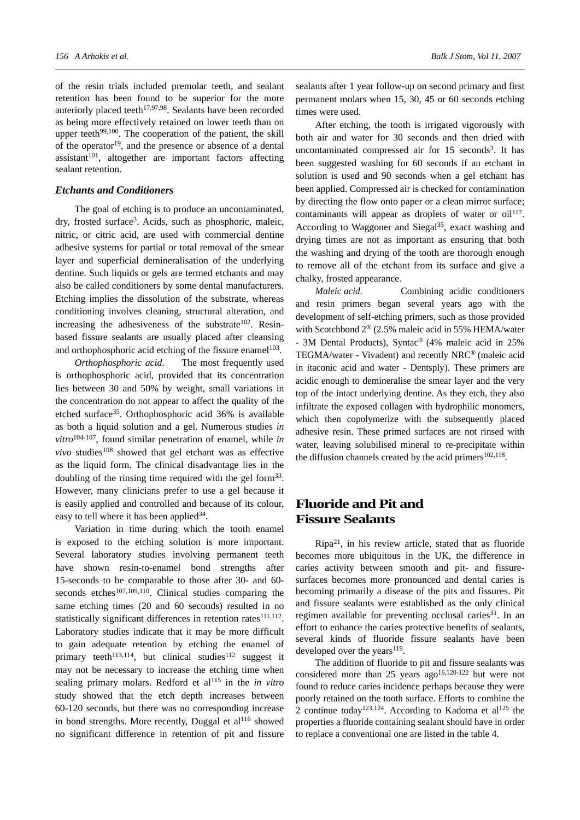of the resin trials included premolar teeth, and sealant retention has been found to be superior for the more anteriorly placed teeth<sup>17,97,98</sup>. Sealants have been recorded as being more effectively retained on lower teeth than on upper teeth<sup>99,100</sup>. The cooperation of the patient, the skill of the operator $19$ , and the presence or absence of a dental  $a$ ssistant<sup>101</sup>, altogether are important factors affecting sealant retention.

#### *Etchants and Conditioners*

The goal of etching is to produce an uncontaminated, dry, frosted surface<sup>3</sup>. Acids, such as phosphoric, maleic, nitric, or citric acid, are used with commercial dentine adhesive systems for partial or total removal of the smear layer and superficial demineralisation of the underlying dentine. Such liquids or gels are termed etchants and may also be called conditioners by some dental manufacturers. Etching implies the dissolution of the substrate, whereas conditioning involves cleaning, structural alteration, and increasing the adhesiveness of the substrate $102$ . Resinbased fissure sealants are usually placed after cleansing and orthophosphoric acid etching of the fissure enamel<sup>103</sup>.

*Orthophosphoric acid*. The most frequently used is orthophosphoric acid, provided that its concentration lies between 30 and 50% by weight, small variations in the concentration do not appear to affect the quality of the etched surface35. Orthophosphoric acid 36% is available as both a liquid solution and a gel. Numerous studies *in vitro*104-107, found similar penetration of enamel, while *in vivo* studies<sup>108</sup> showed that gel etchant was as effective as the liquid form. The clinical disadvantage lies in the doubling of the rinsing time required with the gel form<sup>33</sup>. However, many clinicians prefer to use a gel because it is easily applied and controlled and because of its colour, easy to tell where it has been applied  $34$ .

Variation in time during which the tooth enamel is exposed to the etching solution is more important. Several laboratory studies involving permanent teeth have shown resin-to-enamel bond strengths after 15-seconds to be comparable to those after 30- and 60 seconds etches<sup>107,109,110</sup>. Clinical studies comparing the same etching times (20 and 60 seconds) resulted in no statistically significant differences in retention rates<sup>111,112</sup>. Laboratory studies indicate that it may be more difficult to gain adequate retention by etching the enamel of primary teeth<sup>113,114</sup>, but clinical studies<sup>112</sup> suggest it may not be necessary to increase the etching time when sealing primary molars. Redford et al115 in the *in vitro* study showed that the etch depth increases between 60-120 seconds, but there was no corresponding increase in bond strengths. More recently, Duggal et  $al<sup>116</sup>$  showed no significant difference in retention of pit and fissure

sealants after 1 year follow-up on second primary and first permanent molars when 15, 30, 45 or 60 seconds etching times were used.

After etching, the tooth is irrigated vigorously with both air and water for 30 seconds and then dried with uncontaminated compressed air for 15 seconds<sup>3</sup>. It has been suggested washing for 60 seconds if an etchant in solution is used and 90 seconds when a gel etchant has been applied. Compressed air is checked for contamination by directing the flow onto paper or a clean mirror surface; contaminants will appear as droplets of water or  $\text{oil}^{117}$ . According to Waggoner and Siegal<sup>35</sup>, exact washing and drying times are not as important as ensuring that both the washing and drying of the tooth are thorough enough to remove all of the etchant from its surface and give a chalky, frosted appearance.

*Maleic acid*. Combining acidic conditioners and resin primers began several years ago with the development of self-etching primers, such as those provided with Scotchbond 2® (2.5% maleic acid in 55% HEMA/water - 3M Dental Products), Syntac® (4% maleic acid in 25% TEGMA/water - Vivadent) and recently NRC® (maleic acid in itaconic acid and water - Dentsply). These primers are acidic enough to demineralise the smear layer and the very top of the intact underlying dentine. As they etch, they also infiltrate the exposed collagen with hydrophilic monomers, which then copolymerize with the subsequently placed adhesive resin. These primed surfaces are not rinsed with water, leaving solubilised mineral to re-precipitate within the diffusion channels created by the acid primers $102,118$ .

# **Fluoride and Pit and Fissure Sealants**

 $Ripa^{21}$ , in his review article, stated that as fluoride becomes more ubiquitous in the UK, the difference in caries activity between smooth and pit- and fissuresurfaces becomes more pronounced and dental caries is becoming primarily a disease of the pits and fissures. Pit and fissure sealants were established as the only clinical regimen available for preventing occlusal caries<sup>31</sup>. In an effort to enhance the caries protective benefits of sealants, several kinds of fluoride fissure sealants have been developed over the years $119$ .

The addition of fluoride to pit and fissure sealants was considered more than 25 years ago<sup>16,120-122</sup> but were not found to reduce caries incidence perhaps because they were poorly retained on the tooth surface. Efforts to combine the 2 continue today<sup>123,124</sup>. According to Kadoma et al<sup>125</sup> the properties a fluoride containing sealant should have in order to replace a conventional one are listed in the table 4.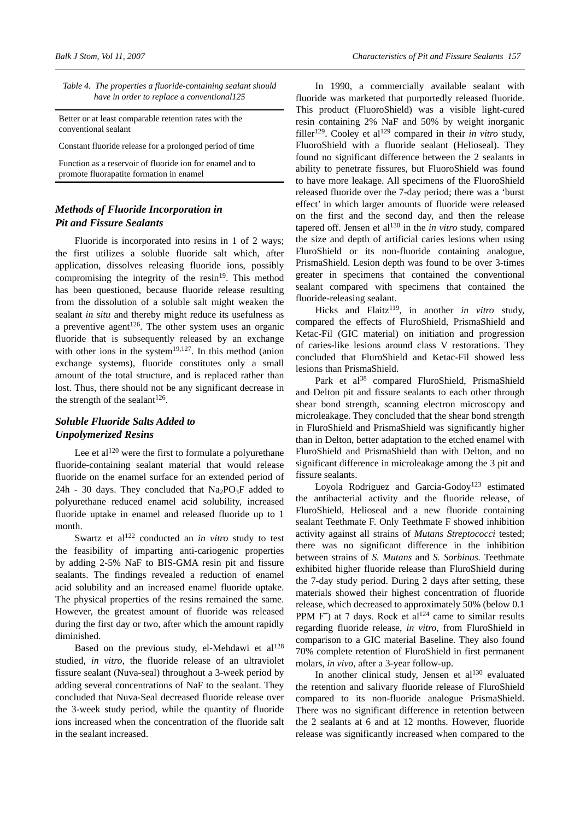| Table 4. The properties a fluoride-containing sealant should |
|--------------------------------------------------------------|
| have in order to replace a conventional125                   |

Better or at least comparable retention rates with the conventional sealant

Constant fluoride release for a prolonged period of time

Function as a reservoir of fluoride ion for enamel and to promote fluorapatite formation in enamel

## *Methods of Fluoride Incorporation in Pit and Fissure Sealants*

Fluoride is incorporated into resins in 1 of 2 ways; the first utilizes a soluble fluoride salt which, after application, dissolves releasing fluoride ions, possibly compromising the integrity of the resin $19$ . This method has been questioned, because fluoride release resulting from the dissolution of a soluble salt might weaken the sealant *in situ* and thereby might reduce its usefulness as a preventive agent<sup>126</sup>. The other system uses an organic fluoride that is subsequently released by an exchange with other ions in the system<sup>19,127</sup>. In this method (anion exchange systems), fluoride constitutes only a small amount of the total structure, and is replaced rather than lost. Thus, there should not be any significant decrease in the strength of the sealant<sup>126</sup>.

# *Soluble Fluoride Salts Added to Unpolymerized Resins*

Lee et  $al^{120}$  were the first to formulate a polyurethane fluoride-containing sealant material that would release fluoride on the enamel surface for an extended period of 24h - 30 days. They concluded that  $Na<sub>2</sub>PO<sub>3</sub>F$  added to polyurethane reduced enamel acid solubility, increased fluoride uptake in enamel and released fluoride up to 1 month.

Swartz et al<sup>122</sup> conducted an *in vitro* study to test the feasibility of imparting anti-cariogenic properties by adding 2-5% NaF to BIS-GMA resin pit and fissure sealants. The findings revealed a reduction of enamel acid solubility and an increased enamel fluoride uptake. The physical properties of the resins remained the same. However, the greatest amount of fluoride was released during the first day or two, after which the amount rapidly diminished.

Based on the previous study, el-Mehdawi et  $al^{128}$ studied, *in vitro*, the fluoride release of an ultraviolet fissure sealant (Nuva-seal) throughout a 3-week period by adding several concentrations of NaF to the sealant. They concluded that Nuva-Seal decreased fluoride release over the 3-week study period, while the quantity of fluoride ions increased when the concentration of the fluoride salt in the sealant increased.

In 1990, a commercially available sealant with fluoride was marketed that purportedly released fluoride. This product (FluoroShield) was a visible light-cured resin containing 2% NaF and 50% by weight inorganic filler<sup>129</sup>. Cooley et al<sup>129</sup> compared in their *in vitro* study, FluoroShield with a fluoride sealant (Helioseal). They found no significant difference between the 2 sealants in ability to penetrate fissures, but FluoroShield was found to have more leakage. All specimens of the FluoroShield released fluoride over the 7-day period; there was a 'burst effect' in which larger amounts of fluoride were released on the first and the second day, and then the release tapered off. Jensen et al<sup>130</sup> in the *in vitro* study, compared the size and depth of artificial caries lesions when using FluroShield or its non-fluoride containing analogue, PrismaShield. Lesion depth was found to be over 3-times greater in specimens that contained the conventional sealant compared with specimens that contained the fluoride-releasing sealant.

Hicks and Flaitz<sup>119</sup>, in another *in vitro* study, compared the effects of FluroShield, PrismaShield and Ketac-Fil (GIC material) on initiation and progression of caries-like lesions around class V restorations. They concluded that FluroShield and Ketac-Fil showed less lesions than PrismaShield.

Park et al<sup>38</sup> compared FluroShield, PrismaShield and Delton pit and fissure sealants to each other through shear bond strength, scanning electron microscopy and microleakage. They concluded that the shear bond strength in FluroShield and PrismaShield was significantly higher than in Delton, better adaptation to the etched enamel with FluroShield and PrismaShield than with Delton, and no significant difference in microleakage among the 3 pit and fissure sealants.

Loyola Rodriguez and Garcia-Godoy<sup>123</sup> estimated the antibacterial activity and the fluoride release, of FluroShield, Helioseal and a new fluoride containing sealant Teethmate F. Only Teethmate F showed inhibition activity against all strains of *Mutans Streptococci* tested; there was no significant difference in the inhibition between strains of *S. Mutans* and *S. Sorbinus.* Teethmate exhibited higher fluoride release than FluroShield during the 7-day study period. During 2 days after setting, these materials showed their highest concentration of fluoride release, which decreased to approximately 50% (below 0.1 PPM F<sup>-</sup>) at 7 days. Rock et al<sup>124</sup> came to similar results regarding fluoride release, *in vitro*, from FluroShield in comparison to a GIC material Baseline. They also found 70% complete retention of FluroShield in first permanent molars, *in vivo*, after a 3-year follow-up.

In another clinical study, Jensen et al<sup>130</sup> evaluated the retention and salivary fluoride release of FluroShield compared to its non-fluoride analogue PrismaShield. There was no significant difference in retention between the 2 sealants at 6 and at 12 months. However, fluoride release was significantly increased when compared to the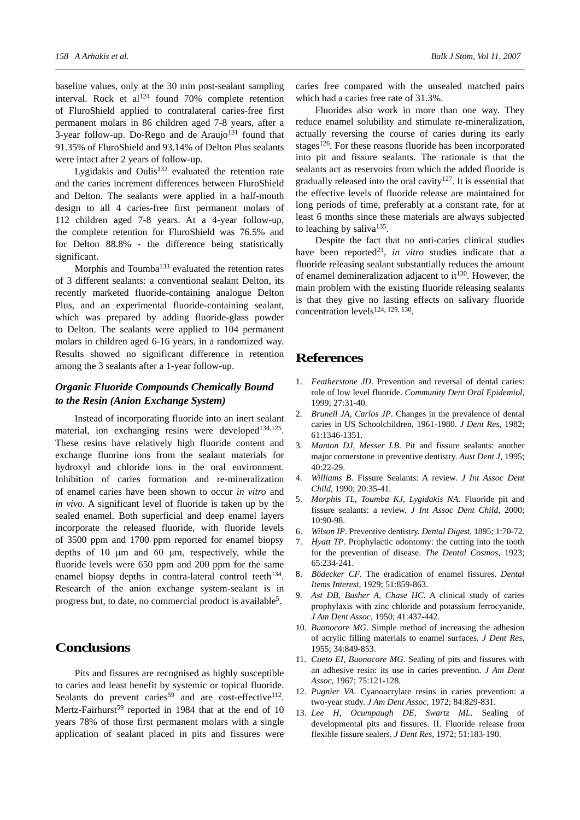baseline values, only at the 30 min post-sealant sampling interval. Rock et al $124$  found 70% complete retention of FluroShield applied to contralateral caries-free first permanent molars in 86 children aged 7-8 years, after a  $3$ -year follow-up. Do-Rego and de Araujo<sup>131</sup> found that 91.35% of FluroShield and 93.14% of Delton Plus sealants were intact after 2 years of follow-up.

Lygidakis and Oulis $132$  evaluated the retention rate and the caries increment differences between FluroShield and Delton. The sealants were applied in a half-mouth design to all 4 caries-free first permanent molars of 112 children aged 7-8 years. At a 4-year follow-up, the complete retention for FluroShield was 76.5% and for Delton 88.8% - the difference being statistically significant.

Morphis and Toumba<sup>133</sup> evaluated the retention rates of 3 different sealants: a conventional sealant Delton, its recently marketed fluoride-containing analogue Delton Plus, and an experimental fluoride-containing sealant, which was prepared by adding fluoride-glass powder to Delton. The sealants were applied to 104 permanent molars in children aged 6-16 years, in a randomized way. Results showed no significant difference in retention among the 3 sealants after a 1-year follow-up.

## *Organic Fluoride Compounds Chemically Bound to the Resin (Anion Exchange System)*

Instead of incorporating fluoride into an inert sealant material, ion exchanging resins were developed<sup>134,125</sup>. These resins have relatively high fluoride content and exchange fluorine ions from the sealant materials for hydroxyl and chloride ions in the oral environment. Inhibition of caries formation and re-mineralization of enamel caries have been shown to occur *in vitro* and *in vivo.* A significant level of fluoride is taken up by the sealed enamel. Both superficial and deep enamel layers incorporate the released fluoride, with fluoride levels of 3500 ppm and 1700 ppm reported for enamel biopsy depths of 10 μm and 60 μm, respectively, while the fluoride levels were 650 ppm and 200 ppm for the same enamel biopsy depths in contra-lateral control teeth<sup>134</sup>. Research of the anion exchange system-sealant is in progress but, to date, no commercial product is available5.

# **Conclusions**

Pits and fissures are recognised as highly susceptible to caries and least benefit by systemic or topical fluoride. Sealants do prevent caries<sup>59</sup> and are cost-effective<sup>112</sup>. Mertz-Fairhurst<sup>59</sup> reported in 1984 that at the end of 10 years 78% of those first permanent molars with a single application of sealant placed in pits and fissures were

caries free compared with the unsealed matched pairs which had a caries free rate of 31.3%.

Fluorides also work in more than one way. They reduce enamel solubility and stimulate re-mineralization, actually reversing the course of caries during its early stages<sup>126</sup>. For these reasons fluoride has been incorporated into pit and fissure sealants. The rationale is that the sealants act as reservoirs from which the added fluoride is gradually released into the oral cavity<sup>127</sup>. It is essential that the effective levels of fluoride release are maintained for long periods of time, preferably at a constant rate, for at least 6 months since these materials are always subjected to leaching by saliva<sup>135</sup>.

Despite the fact that no anti-caries clinical studies have been reported<sup>21</sup>, *in vitro* studies indicate that a fluoride releasing sealant substantially reduces the amount of enamel demineralization adjacent to  $it^{130}$ . However, the main problem with the existing fluoride releasing sealants is that they give no lasting effects on salivary fluoride concentration levels124, 129, 130.

# **References**

- 1. *Featherstone JD*. Prevention and reversal of dental caries: role of low level fluoride. *Community Dent Oral Epidemiol*, 1999; 27:31-40.
- 2. *Brunell JA, Carlos JP*. Changes in the prevalence of dental caries in US Schoolchildren, 1961-1980. *J Dent Res*, 1982; 61:1346-1351.
- 3. *Manton DJ, Messer LB*. Pit and fissure sealants: another major cornerstone in preventive dentistry. *Aust Dent J*, 1995; 40:22-29.
- 4. *Williams B*. Fissure Sealants: A review. *J Int Assoc Dent Child*, 1990; 20:35-41.
- 5. *Morphis TL, Toumba KJ, Lygidakis NA*. Fluoride pit and fissure sealants: a review. *J Int Assoc Dent Child*, 2000; 10:90-98.
- 6. *Wilson IP*. Preventive dentistry. *Dental Digest*, 1895; 1:70-72.
- 7. *Hyatt TP*. Prophylactic odontomy: the cutting into the tooth for the prevention of disease. *The Dental Cosmos*, 1923; 65:234-241.
- 8. *Bödecker CF*. The eradication of enamel fissures. *Dental Items Interest*, 1929; 51:859-863.
- 9. *Ast DB, Busher A, Chase HC*. A clinical study of caries prophylaxis with zinc chloride and potassium ferrocyanide. *J Am Dent Assoc*, 1950; 41:437-442.
- 10. *Buonocore MG*. Simple method of increasing the adhesion of acrylic filling materials to enamel surfaces. *J Dent Res*, 1955; 34:849-853.
- 11. *Cueto EI, Buonocore MG*. Sealing of pits and fissures with an adhesive resin: its use in caries prevention. *J Am Dent Assoc*, 1967; 75:121-128.
- 12. *Pugnier VA*. Cyanoacrylate resins in caries prevention: a two-year study. *J Am Dent Assoc*, 1972; 84:829-831.
- 13. *Lee H, Ocumpaugh DE, Swartz ML*. Sealing of developmental pits and fissures. II. Fluoride release from flexible fissure sealers. *J Dent Res*, 1972; 51:183-190.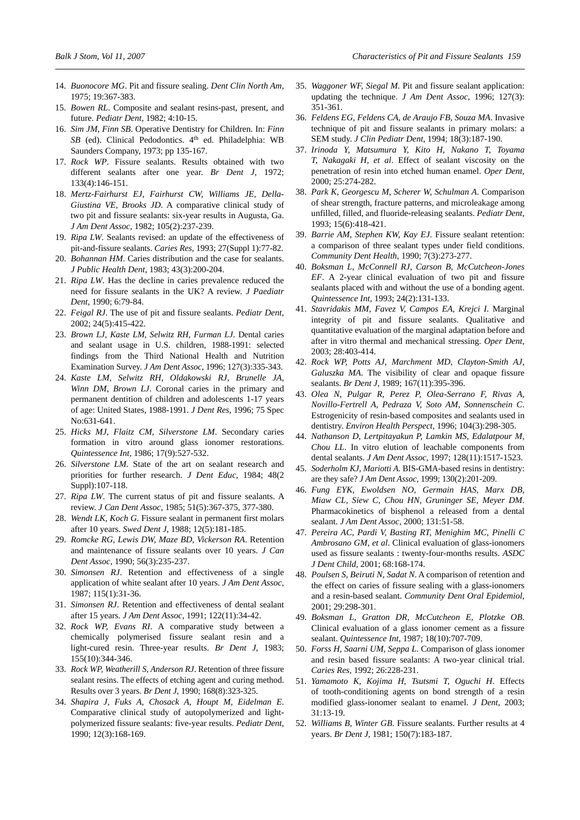- 14. *Buonocore MG*. Pit and fissure sealing. *Dent Clin North Am*, 1975; 19:367-383.
- 15. *Bowen RL*. Composite and sealant resins-past, present, and future. *Pediatr Dent*, 1982; 4:10-15.
- 16. *Sim JM, Finn SB*. Operative Dentistry for Children. In: *Finn*  SB (ed). Clinical Pedodontics. 4<sup>th</sup> ed. Philadelphia: WB Saunders Company, 1973; pp 135-167.
- 17. *Rock WP*. Fissure sealants. Results obtained with two different sealants after one year. *Br Dent J*, 1972; 133(4):146-151.
- 18. *Mertz-Fairhurst EJ, Fairhurst CW, Williams JE, Della-Giustina VE, Brooks JD*. A comparative clinical study of two pit and fissure sealants: six-year results in Augusta, Ga. *J Am Dent Assoc*, 1982; 105(2):237-239.
- 19. *Ripa LW*. Sealants revised: an update of the effectiveness of pit-and-fissure sealants. *Caries Res*, 1993; 27(Suppl 1):77-82.
- 20. *Bohannan HM*. Caries distribution and the case for sealants. *J Public Health Dent*, 1983; 43(3):200-204.
- 21. *Ripa LW*. Has the decline in caries prevalence reduced the need for fissure sealants in the UK? A review. *J Paediatr Dent*, 1990; 6:79-84.
- 22. *Feigal RJ*. The use of pit and fissure sealants. *Pediatr Dent*, 2002; 24(5):415-422.
- 23. *Brown LJ, Kaste LM, Selwitz RH, Furman LJ*. Dental caries and sealant usage in U.S. children, 1988-1991: selected findings from the Third National Health and Nutrition Examination Survey. *J Am Dent Assoc*, 1996; 127(3):335-343.
- 24. *Kaste LM, Selwitz RH, Oldakowski RJ, Brunelle JA, Winn DM, Brown LJ*. Coronal caries in the primary and permanent dentition of children and adolescents 1-17 years of age: United States, 1988-1991. *J Dent Res*, 1996; 75 Spec No:631-641.
- 25. *Hicks MJ, Flaitz CM, Silverstone LM*. Secondary caries formation in vitro around glass ionomer restorations. *Quintessence Int*, 1986; 17(9):527-532.
- 26. *Silverstone LM*. State of the art on sealant research and priorities for further research. *J Dent Educ*, 1984; 48(2 Suppl):107-118.
- 27. *Ripa LW*. The current status of pit and fissure sealants. A review. *J Can Dent Assoc*, 1985; 51(5):367-375, 377-380.
- 28. *Wendt LK, Koch G*. Fissure sealant in permanent first molars after 10 years. *Swed Dent J*, 1988; 12(5):181-185.
- 29. *Romcke RG, Lewis DW, Maze BD, Vickerson RA*. Retention and maintenance of fissure sealants over 10 years. *J Can Dent Assoc*, 1990; 56(3):235-237.
- 30. *Simonsen RJ*. Retention and effectiveness of a single application of white sealant after 10 years. *J Am Dent Assoc*, 1987; 115(1):31-36.
- 31. *Simonsen RJ*. Retention and effectiveness of dental sealant after 15 years. *J Am Dent Assoc*, 1991; 122(11):34-42.
- 32. *Rock WP, Evans RI*. A comparative study between a chemically polymerised fissure sealant resin and a light-cured resin. Three-year results. *Br Dent J*, 1983; 155(10):344-346.
- 33. *Rock WP, Weatherill S, Anderson RJ*. Retention of three fissure sealant resins. The effects of etching agent and curing method. Results over 3 years. *Br Dent J*, 1990; 168(8):323-325.
- 34. *Shapira J, Fuks A, Chosack A, Houpt M, Eidelman E*. Comparative clinical study of autopolymerized and lightpolymerized fissure sealants: five-year results. *Pediatr Dent*, 1990; 12(3):168-169.
- 35. *Waggoner WF, Siegal M*. Pit and fissure sealant application: updating the technique. *J Am Dent Assoc*, 1996; 127(3): 351-361.
- 36. *Feldens EG, Feldens CA, de Araujo FB, Souza MA*. Invasive technique of pit and fissure sealants in primary molars: a SEM study. *J Clin Pediatr Dent*, 1994; 18(3):187-190.
- 37. *Irinoda Y, Matsumura Y, Kito H, Nakano T, Toyama T, Nakagaki H, et al*. Effect of sealant viscosity on the penetration of resin into etched human enamel. *Oper Dent*, 2000; 25:274-282.
- 38. *Park K, Georgescu M, Scherer W, Schulman A*. Comparison of shear strength, fracture patterns, and microleakage among unfilled, filled, and fluoride-releasing sealants. *Pediatr Dent*, 1993; 15(6):418-421.
- 39. *Barrie AM, Stephen KW, Kay EJ*. Fissure sealant retention: a comparison of three sealant types under field conditions. *Community Dent Health*, 1990; 7(3):273-277.
- 40. *Boksman L, McConnell RJ, Carson B, McCutcheon-Jones EF*. A 2-year clinical evaluation of two pit and fissure sealants placed with and without the use of a bonding agent. *Quintessence Int*, 1993; 24(2):131-133.
- 41. *Stavridakis MM, Favez V, Campos EA, Krejci I*. Marginal integrity of pit and fissure sealants. Qualitative and quantitative evaluation of the marginal adaptation before and after in vitro thermal and mechanical stressing. *Oper Dent*, 2003; 28:403-414.
- 42. *Rock WP, Potts AJ, Marchment MD, Clayton-Smith AJ, Galuszka MA*. The visibility of clear and opaque fissure sealants. *Br Dent J*, 1989; 167(11):395-396.
- 43. *Olea N, Pulgar R, Perez P, Olea-Serrano F, Rivas A, Novillo-Fertrell A, Pedraza V, Soto AM, Sonnenschein C*. Estrogenicity of resin-based composites and sealants used in dentistry. *Environ Health Perspect*, 1996; 104(3):298-305.
- 44. *Nathanson D, Lertpitayakun P, Lamkin MS, Edalatpour M, Chou LL*. In vitro elution of leachable components from dental sealants. *J Am Dent Assoc*, 1997; 128(11):1517-1523.
- 45. *Soderholm KJ, Mariotti A*. BIS-GMA-based resins in dentistry: are they safe? *J Am Dent Assoc*, 1999; 130(2):201-209.
- 46. *Fung EYK, Ewoldsen NO, Germain HAS, Marx DB, Miaw CL, Siew C, Chou HN, Gruninger SE, Meyer DM*. Pharmacokinetics of bisphenol a released from a dental sealant. *J Am Dent Assoc*, 2000; 131:51-58.
- 47. *Pereira AC, Pardi V, Basting RT, Menighim MC, Pinelli C Ambrosano GM, et al*. Clinical evaluation of glass-ionomers used as fissure sealants : twenty-four-months results. *ASDC J Dent Child*, 2001; 68:168-174.
- 48. *Poulsen S, Beiruti N, Sadat N*. A comparison of retention and the effect on caries of fissure sealing with a glass-ionomers and a resin-based sealant. *Community Dent Oral Epidemiol*, 2001; 29:298-301.
- 49. *Boksman L, Gratton DR, McCutcheon E, Plotzke OB*. Clinical evaluation of a glass ionomer cement as a fissure sealant. *Quintessence Int*, 1987; 18(10):707-709.
- 50. *Forss H, Saarni UM, Seppa L*. Comparison of glass ionomer and resin based fissure sealants: A two-year clinical trial. *Caries Res*, 1992; 26:228-231.
- 51. *Yamamoto K, Kojima H, Tsutsmi T, Oguchi H*. Effects of tooth-conditioning agents on bond strength of a resin modified glass-ionomer sealant to enamel. *J Dent*, 2003; 31:13-19.
- 52. *Williams B, Winter GB*. Fissure sealants. Further results at 4 years. *Br Dent J*, 1981; 150(7):183-187.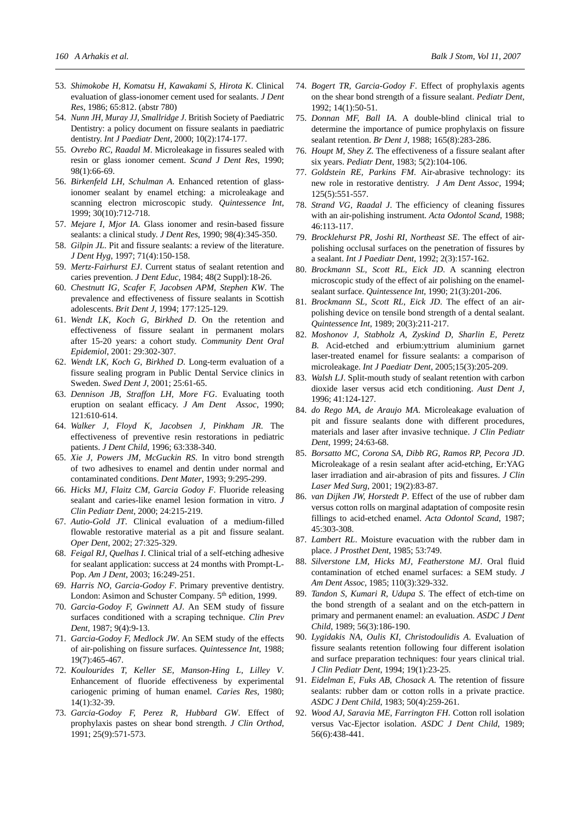- 53. *Shimokobe H, Komatsu H, Kawakami S, Hirota K*. Clinical evaluation of glass-ionomer cement used for sealants. *J Dent Res*, 1986; 65:812. (abstr 780)
- 54. *Nunn JH, Muray JJ, Smallridge J*. British Society of Paediatric Dentistry: a policy document on fissure sealants in paediatric dentistry. *Int J Paediatr Dent,* 2000; 10(2):174-177.
- 55. *Ovrebo RC, Raadal M*. Microleakage in fissures sealed with resin or glass ionomer cement. *Scand J Dent Res*, 1990; 98(1):66-69.
- 56. *Birkenfeld LH, Schulman A*. Enhanced retention of glassionomer sealant by enamel etching: a microleakage and scanning electron microscopic study. *Quintessence Int*, 1999; 30(10):712-718.
- 57. *Mejare I, Mjor IA*. Glass ionomer and resin-based fissure sealants: a clinical study. *J Dent Res*, 1990; 98(4):345-350.
- 58. *Gilpin JL*. Pit and fissure sealants: a review of the literature. *J Dent Hyg*, 1997; 71(4):150-158.
- 59. *Mertz-Fairhurst EJ*. Current status of sealant retention and caries prevention. *J Dent Educ*, 1984; 48(2 Suppl):18-26.
- 60. *Chestnutt IG, Scafer F, Jacobsen APM, Stephen KW*. The prevalence and effectiveness of fissure sealants in Scottish adolescents. *Brit Dent J*, 1994; 177:125-129.
- 61. *Wendt LK, Koch G, Birkhed D*. On the retention and effectiveness of fissure sealant in permanent molars after 15-20 years: a cohort study. *Community Dent Oral Epidemiol*, 2001: 29:302-307.
- 62. *Wendt LK, Koch G, Birkhed D*. Long-term evaluation of a fissure sealing program in Public Dental Service clinics in Sweden. *Swed Dent J*, 2001; 25:61-65.
- 63. *Dennison JB, Straffon LH, More FG*. Evaluating tooth eruption on sealant efficacy. *J Am Dent Assoc*, 1990; 121:610-614.
- 64. *Walker J, Floyd K, Jacobsen J, Pinkham JR*. The effectiveness of preventive resin restorations in pediatric patients. *J Dent Child*, 1996; 63:338-340.
- 65. *Xie J, Powers JM, McGuckin RS*. In vitro bond strength of two adhesives to enamel and dentin under normal and contaminated conditions. *Dent Mater*, 1993; 9:295-299.
- 66. *Hicks MJ, Flaitz CM, Garcia Godoy F*. Fluoride releasing sealant and caries-like enamel lesion formation in vitro. *J Clin Pediatr Dent*, 2000; 24:215-219.
- 67. *Autio-Gold JT*. Clinical evaluation of a medium-filled flowable restorative material as a pit and fissure sealant. *Oper Dent*, 2002; 27:325-329.
- 68. *Feigal RJ, Quelhas I*. Clinical trial of a self-etching adhesive for sealant application: success at 24 months with Prompt-L-Pop. *Am J Dent*, 2003; 16:249-251.
- 69. *Harris NO, Garcia-Godoy F*. Primary preventive dentistry. London: Asimon and Schuster Company. 5<sup>th</sup> edition, 1999.
- 70. *Garcia-Godoy F, Gwinnett AJ*. An SEM study of fissure surfaces conditioned with a scraping technique. *Clin Prev Dent*, 1987; 9(4):9-13.
- 71. *Garcia-Godoy F, Medlock JW*. An SEM study of the effects of air-polishing on fissure surfaces. *Quintessence Int*, 1988; 19(7):465-467.
- 72. *Koulourides T, Keller SE, Manson-Hing L, Lilley V*. Enhancement of fluoride effectiveness by experimental cariogenic priming of human enamel. *Caries Res*, 1980; 14(1):32-39.
- 73. *Garcia-Godoy F, Perez R, Hubbard GW*. Effect of prophylaxis pastes on shear bond strength. *J Clin Orthod*, 1991; 25(9):571-573.
- 74. *Bogert TR, Garcia-Godoy F*. Effect of prophylaxis agents on the shear bond strength of a fissure sealant. *Pediatr Dent*, 1992; 14(1):50-51.
- 75. *Donnan MF, Ball IA*. A double-blind clinical trial to determine the importance of pumice prophylaxis on fissure sealant retention. *Br Dent J*, 1988; 165(8):283-286.
- 76. *Houpt M, Shey Z*. The effectiveness of a fissure sealant after six years. *Pediatr Dent*, 1983; 5(2):104-106.
- 77. *Goldstein RE, Parkins FM*. Air-abrasive technology: its new role in restorative dentistry. *J Am Dent Assoc*, 1994; 125(5):551-557.
- 78. *Strand VG, Raadal J*. The efficiency of cleaning fissures with an air-polishing instrument. *Acta Odontol Scand*, 1988; 46:113-117.
- 79. *Brocklehurst PR, Joshi RI, Northeast SE*. The effect of airpolishing occlusal surfaces on the penetration of fissures by a sealant. *Int J Paediatr Dent*, 1992; 2(3):157-162.
- 80. *Brockmann SL, Scott RL, Eick JD*. A scanning electron microscopic study of the effect of air polishing on the enamelsealant surface. *Quintessence Int*, 1990; 21(3):201-206.
- 81. *Brockmann SL, Scott RL, Eick JD*. The effect of an airpolishing device on tensile bond strength of a dental sealant. *Quintessence Int*, 1989; 20(3):211-217.
- 82. *Moshonov J, Stabholz A, Zyskind D, Sharlin E, Peretz B*. Acid-etched and erbium:yttrium aluminium garnet laser-treated enamel for fissure sealants: a comparison of microleakage. *Int J Paediatr Dent*, 2005;15(3):205-209.
- 83. *Walsh LJ*. Split-mouth study of sealant retention with carbon dioxide laser versus acid etch conditioning. *Aust Dent J*, 1996; 41:124-127.
- 84. *do Rego MA, de Araujo MA*. Microleakage evaluation of pit and fissure sealants done with different procedures, materials and laser after invasive technique. *J Clin Pediatr Dent*, 1999; 24:63-68.
- 85. *Borsatto MC, Corona SA, Dibb RG, Ramos RP, Pecora JD*. Microleakage of a resin sealant after acid-etching, Er:YAG laser irradiation and air-abrasion of pits and fissures. *J Clin Laser Med Surg*, 2001; 19(2):83-87.
- 86. *van Dijken JW, Horstedt P*. Effect of the use of rubber dam versus cotton rolls on marginal adaptation of composite resin fillings to acid-etched enamel. *Acta Odontol Scand*, 1987; 45:303-308.
- 87. *Lambert RL*. Moisture evacuation with the rubber dam in place. *J Prosthet Dent*, 1985; 53:749.
- 88. *Silverstone LM, Hicks MJ, Featherstone MJ*. Oral fluid contamination of etched enamel surfaces: a SEM study. *J Am Dent Assoc*, 1985; 110(3):329-332.
- 89. *Tandon S, Kumari R, Udupa S*. The effect of etch-time on the bond strength of a sealant and on the etch-pattern in primary and permanent enamel: an evaluation. *ASDC J Dent Child*, 1989; 56(3):186-190.
- 90. *Lygidakis NA, Oulis KI, Christodoulidis A*. Evaluation of fissure sealants retention following four different isolation and surface preparation techniques: four years clinical trial. *J Clin Pediatr Dent*, 1994; 19(1):23-25.
- 91. *Eidelman E, Fuks AB, Chosack A*. The retention of fissure sealants: rubber dam or cotton rolls in a private practice. *ASDC J Dent Child*, 1983; 50(4):259-261.
- 92. *Wood AJ, Saravia ME, Farrington FH*. Cotton roll isolation versus Vac-Ejector isolation. *ASDC J Dent Child*, 1989; 56(6):438-441.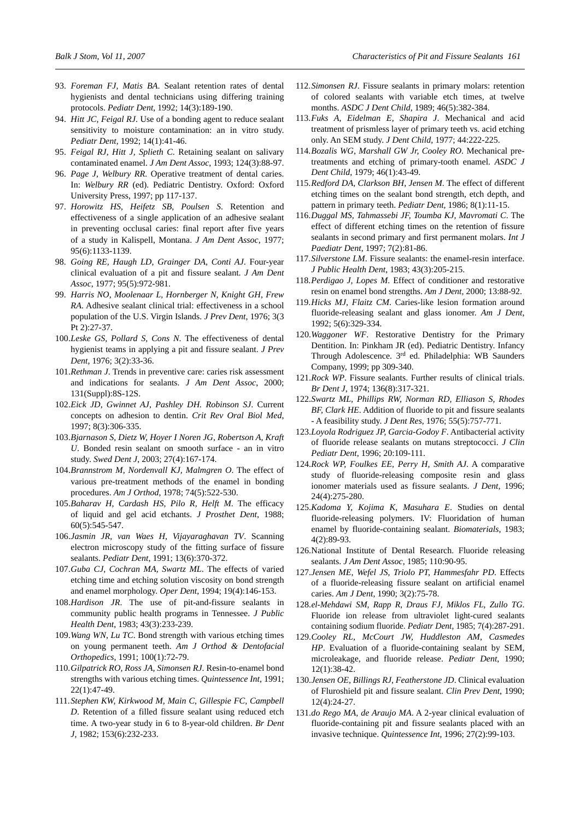- 93. *Foreman FJ, Matis BA*. Sealant retention rates of dental hygienists and dental technicians using differing training protocols. *Pediatr Dent*, 1992; 14(3):189-190.
- 94. *Hitt JC, Feigal RJ*. Use of a bonding agent to reduce sealant sensitivity to moisture contamination: an in vitro study. *Pediatr Dent*, 1992; 14(1):41-46.
- 95. *Feigal RJ, Hitt J, Splieth C*. Retaining sealant on salivary contaminated enamel. *J Am Dent Assoc*, 1993; 124(3):88-97.
- 96. *Page J, Welbury RR*. Operative treatment of dental caries. In: *Welbury RR* (ed). Pediatric Dentistry. Oxford: Oxford University Press, 1997; pp 117-137.
- 97. *Horowitz HS, Heifetz SB, Poulsen S*. Retention and effectiveness of a single application of an adhesive sealant in preventing occlusal caries: final report after five years of a study in Kalispell, Montana. *J Am Dent Assoc*, 1977; 95(6):1133-1139.
- 98. *Going RE, Haugh LD, Grainger DA, Conti AJ*. Four-year clinical evaluation of a pit and fissure sealant. *J Am Dent Assoc*, 1977; 95(5):972-981.
- 99. *Harris NO, Moolenaar L, Hornberger N, Knight GH, Frew RA*. Adhesive sealant clinical trial: effectiveness in a school population of the U.S. Virgin Islands. *J Prev Dent*, 1976; 3(3 Pt 2):27-37.
- 100.*Leske GS, Pollard S, Cons N*. The effectiveness of dental hygienist teams in applying a pit and fissure sealant. *J Prev Dent*, 1976; 3(2):33-36.
- 101.*Rethman J*. Trends in preventive care: caries risk assessment and indications for sealants. *J Am Dent Assoc*, 2000; 131(Suppl):8S-12S.
- 102.*Eick JD, Gwinnet AJ, Pashley DH. Robinson SJ*. Current concepts on adhesion to dentin. *Crit Rev Oral Biol Med*, 1997; 8(3):306-335.
- 103.*Bjarnason S, Dietz W, Hoyer I Noren JG, Robertson A, Kraft U*. Bonded resin sealant on smooth surface - an in vitro study. *Swed Dent J*, 2003; 27(4):167-174.
- 104.*Brannstrom M, Nordenvall KJ, Malmgren O*. The effect of various pre-treatment methods of the enamel in bonding procedures. *Am J Orthod*, 1978; 74(5):522-530.
- 105.*Baharav H, Cardash HS, Pilo R, Helft M*. The efficacy of liquid and gel acid etchants. *J Prosthet Dent*, 1988; 60(5):545-547.
- 106.*Jasmin JR, van Waes H, Vijayaraghavan TV*. Scanning electron microscopy study of the fitting surface of fissure sealants. *Pediatr Dent*, 1991; 13(6):370-372.
- 107.*Guba CJ, Cochran MA, Swartz ML*. The effects of varied etching time and etching solution viscosity on bond strength and enamel morphology. *Oper Dent*, 1994; 19(4):146-153.
- 108.*Hardison JR*. The use of pit-and-fissure sealants in community public health programs in Tennessee. *J Public Health Dent*, 1983; 43(3):233-239.
- 109.*Wang WN, Lu TC*. Bond strength with various etching times on young permanent teeth. *Am J Orthod & Dentofacial Orthopedics*, 1991; 100(1):72-79.
- 110.*Gilpatrick RO, Ross JA, Simonsen RJ*. Resin-to-enamel bond strengths with various etching times. *Quintessence Int*, 1991; 22(1):47-49.
- 111.*Stephen KW, Kirkwood M, Main C, Gillespie FC, Campbell D*. Retention of a filled fissure sealant using reduced etch time. A two-year study in 6 to 8-year-old children. *Br Dent J*, 1982; 153(6):232-233.
- 112.*Simonsen RJ*. Fissure sealants in primary molars: retention of colored sealants with variable etch times, at twelve months. *ASDC J Dent Child*, 1989; 46(5):382-384.
- 113.*Fuks A, Eidelman E, Shapira J*. Mechanical and acid treatment of prismless layer of primary teeth vs. acid etching only. An SEM study. *J Dent Child*, 1977; 44:222-225.
- 114.*Bozalis WG, Marshall GW Jr, Cooley RO*. Mechanical pretreatments and etching of primary-tooth enamel. *ASDC J Dent Child*, 1979; 46(1):43-49.
- 115.*Redford DA, Clarkson BH, Jensen M*. The effect of different etching times on the sealant bond strength, etch depth, and pattern in primary teeth. *Pediatr Dent*, 1986; 8(1):11-15.
- 116.*Duggal MS, Tahmassebi JF, Toumba KJ, Mavromati C*. The effect of different etching times on the retention of fissure sealants in second primary and first permanent molars. *Int J Paediatr Dent*, 1997; 7(2):81-86.
- 117.*Silverstone LM*. Fissure sealants: the enamel-resin interface. *J Public Health Dent*, 1983; 43(3):205-215.
- 118.*Perdigao J, Lopes M*. Effect of conditioner and restorative resin on enamel bond strengths. *Am J Dent*, 2000; 13:88-92.
- 119.*Hicks MJ, Flaitz CM*. Caries-like lesion formation around fluoride-releasing sealant and glass ionomer. *Am J Dent*, 1992; 5(6):329-334.
- 120.*Waggoner WF*. Restorative Dentistry for the Primary Dentition. In: Pinkham JR (ed). Pediatric Dentistry. Infancy Through Adolescence. 3<sup>rd</sup> ed. Philadelphia: WB Saunders Company, 1999; pp 309-340.
- 121.*Rock WP*. Fissure sealants. Further results of clinical trials. *Br Dent J*, 1974; 136(8):317-321.
- 122.*Swartz ML, Phillips RW, Norman RD, Elliason S, Rhodes BF, Clark HE*. Addition of fluoride to pit and fissure sealants - A feasibility study. *J Dent Res*, 1976; 55(5):757-771.
- 123.*Loyola Rodriguez JP, Garcia-Godoy F*. Antibacterial activity of fluoride release sealants on mutans streptococci. *J Clin Pediatr Dent*, 1996; 20:109-111.
- 124.*Rock WP, Foulkes EE, Perry H, Smith AJ*. A comparative study of fluoride-releasing composite resin and glass ionomer materials used as fissure sealants. *J Dent*, 1996; 24(4):275-280.
- 125.*Kadoma Y, Kojima K, Masuhara E*. Studies on dental fluoride-releasing polymers. IV: Fluoridation of human enamel by fluoride-containing sealant. *Biomaterials*, 1983; 4(2):89-93.
- 126.National Institute of Dental Research. Fluoride releasing sealants. *J Am Dent Assoc*, 1985; 110:90-95.
- 127.*Jensen ME, Wefel JS, Triolo PT, Hammesfahr PD*. Effects of a fluoride-releasing fissure sealant on artificial enamel caries. *Am J Dent*, 1990; 3(2):75-78.
- 128.*el-Mehdawi SM, Rapp R, Draus FJ, Miklos FL, Zullo TG*. Fluoride ion release from ultraviolet light-cured sealants containing sodium fluoride. *Pediatr Dent*, 1985; 7(4):287-291.
- 129.*Cooley RL, McCourt JW, Huddleston AM, Casmedes HP*. Evaluation of a fluoride-containing sealant by SEM, microleakage, and fluoride release. *Pediatr Dent*, 1990; 12(1):38-42.
- 130.*Jensen OE, Billings RJ, Featherstone JD*. Clinical evaluation of Fluroshield pit and fissure sealant. *Clin Prev Dent*, 1990; 12(4):24-27.
- 131.*do Rego MA, de Araujo MA*. A 2-year clinical evaluation of fluoride-containing pit and fissure sealants placed with an invasive technique. *Quintessence Int*, 1996; 27(2):99-103.